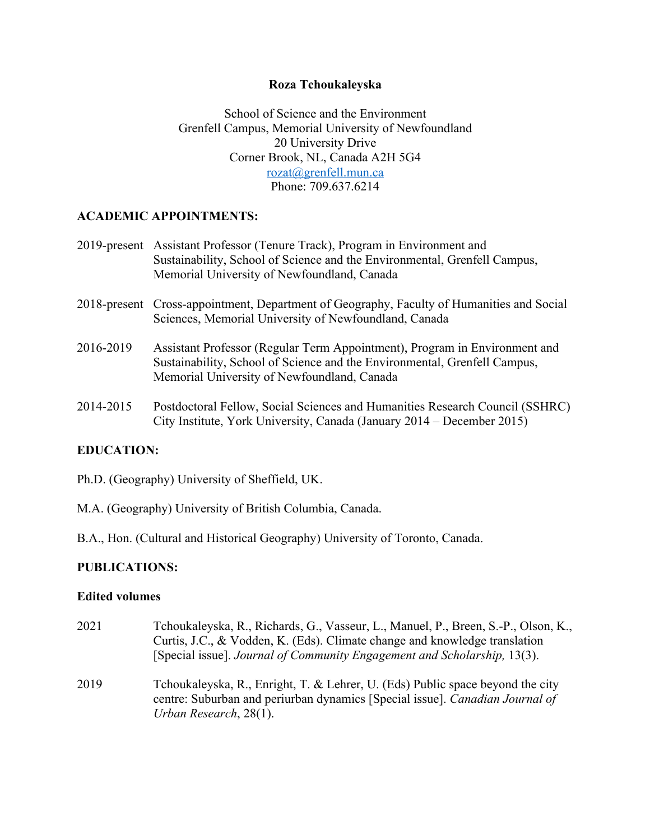### **Roza Tchoukaleyska**

School of Science and the Environment Grenfell Campus, Memorial University of Newfoundland 20 University Drive Corner Brook, NL, Canada A2H 5G4 rozat@grenfell.mun.ca Phone: 709.637.6214

### **ACADEMIC APPOINTMENTS:**

| 2019-present Assistant Professor (Tenure Track), Program in Environment and |
|-----------------------------------------------------------------------------|
| Sustainability, School of Science and the Environmental, Grenfell Campus,   |
| Memorial University of Newfoundland, Canada                                 |

- 2018-present Cross-appointment, Department of Geography, Faculty of Humanities and Social Sciences, Memorial University of Newfoundland, Canada
- 2016-2019 Assistant Professor (Regular Term Appointment), Program in Environment and Sustainability, School of Science and the Environmental, Grenfell Campus, Memorial University of Newfoundland, Canada
- 2014-2015 Postdoctoral Fellow, Social Sciences and Humanities Research Council (SSHRC) City Institute, York University, Canada (January 2014 – December 2015)

### **EDUCATION:**

Ph.D. (Geography) University of Sheffield, UK.

- M.A. (Geography) University of British Columbia, Canada.
- B.A., Hon. (Cultural and Historical Geography) University of Toronto, Canada.

### **PUBLICATIONS:**

#### **Edited volumes**

- 2021 Tchoukaleyska, R., Richards, G., Vasseur, L., Manuel, P., Breen, S.-P., Olson, K., Curtis, J.C., & Vodden, K. (Eds). Climate change and knowledge translation [Special issue]. *Journal of Community Engagement and Scholarship,* 13(3). 2019 Tchoukaleyska, R., Enright, T. & Lehrer, U. (Eds) Public space beyond the city
- centre: Suburban and periurban dynamics [Special issue]. *Canadian Journal of Urban Research*, 28(1).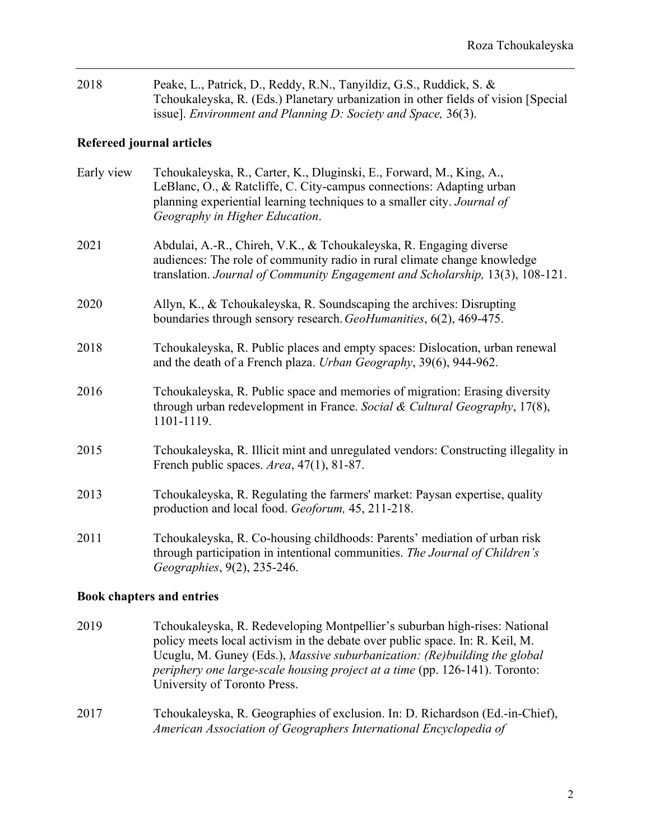| 2018 | Peake, L., Patrick, D., Reddy, R.N., Tanyildiz, G.S., Ruddick, S. &                 |
|------|-------------------------------------------------------------------------------------|
|      | Tchoukaleyska, R. (Eds.) Planetary urbanization in other fields of vision [Special] |
|      | issue]. <i>Environment and Planning D: Society and Space</i> , $36(3)$ .            |

# **Refereed journal articles**

| Early view | Tchoukaleyska, R., Carter, K., Dluginski, E., Forward, M., King, A.,<br>LeBlanc, O., & Ratcliffe, C. City-campus connections: Adapting urban<br>planning experiential learning techniques to a smaller city. Journal of<br>Geography in Higher Education. |
|------------|-----------------------------------------------------------------------------------------------------------------------------------------------------------------------------------------------------------------------------------------------------------|
| 2021       | Abdulai, A.-R., Chireh, V.K., & Tchoukaleyska, R. Engaging diverse<br>audiences: The role of community radio in rural climate change knowledge<br>translation. Journal of Community Engagement and Scholarship, 13(3), 108-121.                           |
| 2020       | Allyn, K., & Tchoukaleyska, R. Soundscaping the archives: Disrupting<br>boundaries through sensory research. GeoHumanities, 6(2), 469-475.                                                                                                                |
| 2018       | Tchoukaleyska, R. Public places and empty spaces: Dislocation, urban renewal<br>and the death of a French plaza. Urban Geography, 39(6), 944-962.                                                                                                         |
| 2016       | Tchoukaleyska, R. Public space and memories of migration: Erasing diversity<br>through urban redevelopment in France. Social & Cultural Geography, 17(8),<br>1101-1119.                                                                                   |
| 2015       | Tchoukaleyska, R. Illicit mint and unregulated vendors: Constructing illegality in<br>French public spaces. Area, 47(1), 81-87.                                                                                                                           |
| 2013       | Tchoukaleyska, R. Regulating the farmers' market: Paysan expertise, quality<br>production and local food. Geoforum, 45, 211-218.                                                                                                                          |
| 2011       | Tchoukaleyska, R. Co-housing childhoods: Parents' mediation of urban risk<br>through participation in intentional communities. The Journal of Children's<br>Geographies, 9(2), 235-246.                                                                   |
|            |                                                                                                                                                                                                                                                           |

### **Book chapters and entries**

- 2019 Tchoukaleyska, R. Redeveloping Montpellier's suburban high-rises: National policy meets local activism in the debate over public space. In: R. Keil, M. Ucuglu, M. Guney (Eds.), *Massive suburbanization: (Re)building the global periphery one large-scale housing project at a time* (pp. 126-141). Toronto: University of Toronto Press.
- 2017 Tchoukaleyska, R. Geographies of exclusion. In: D. Richardson (Ed.-in-Chief), *American Association of Geographers International Encyclopedia of*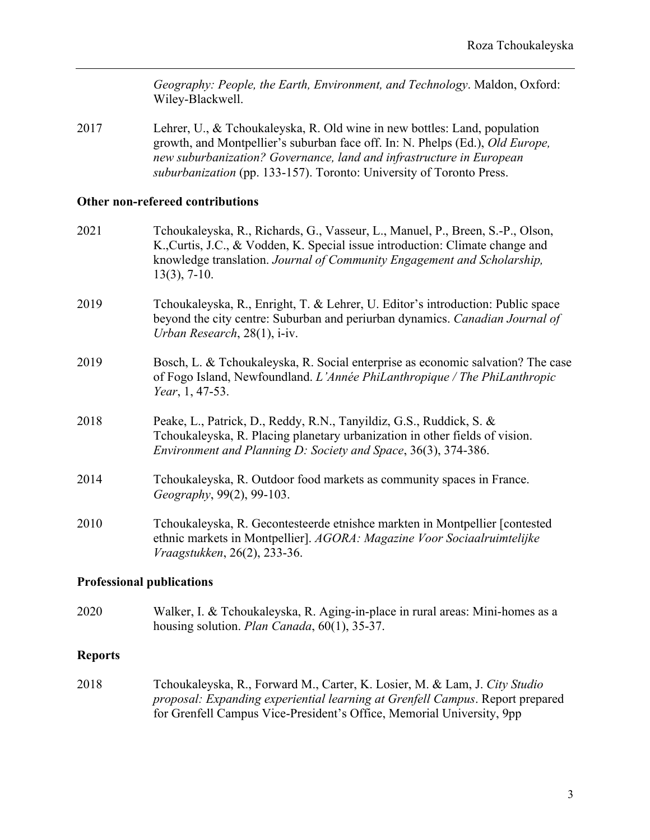*Geography: People, the Earth, Environment, and Technology*. Maldon, Oxford: Wiley-Blackwell.

2017 Lehrer, U., & Tchoukaleyska, R. Old wine in new bottles: Land, population growth, and Montpellier's suburban face off. In: N. Phelps (Ed.), *Old Europe, new suburbanization? Governance, land and infrastructure in European suburbanization* (pp. 133-157). Toronto: University of Toronto Press.

### **Other non-refereed contributions**

| 2021 | Tchoukaleyska, R., Richards, G., Vasseur, L., Manuel, P., Breen, S.-P., Olson,<br>K., Curtis, J.C., & Vodden, K. Special issue introduction: Climate change and<br>knowledge translation. Journal of Community Engagement and Scholarship,<br>$13(3)$ , 7-10. |
|------|---------------------------------------------------------------------------------------------------------------------------------------------------------------------------------------------------------------------------------------------------------------|
| 2019 | Tchoukaleyska, R., Enright, T. & Lehrer, U. Editor's introduction: Public space<br>beyond the city centre: Suburban and periurban dynamics. Canadian Journal of<br>Urban Research, $28(1)$ , i-iv.                                                            |
| 2019 | Bosch, L. & Tchoukaleyska, R. Social enterprise as economic salvation? The case<br>of Fogo Island, Newfoundland. L'Année PhiLanthropique / The PhiLanthropic<br><i>Year</i> , 1, 47-53.                                                                       |
| 2018 | Peake, L., Patrick, D., Reddy, R.N., Tanyildiz, G.S., Ruddick, S. &<br>Tchoukaleyska, R. Placing planetary urbanization in other fields of vision.<br>Environment and Planning D: Society and Space, 36(3), 374-386.                                          |
| 2014 | Tchoukaleyska, R. Outdoor food markets as community spaces in France.<br>Geography, 99(2), 99-103.                                                                                                                                                            |
| 2010 | Tchoukaleyska, R. Gecontesteerde etnishce markten in Montpellier [contested]<br>ethnic markets in Montpellier]. AGORA: Magazine Voor Sociaalruimtelijke<br>Vraagstukken, 26(2), 233-36.                                                                       |

#### **Professional publications**

2020 Walker, I. & Tchoukaleyska, R. Aging-in-place in rural areas: Mini-homes as a housing solution. *Plan Canada*, 60(1), 35-37.

#### **Reports**

2018 Tchoukaleyska, R., Forward M., Carter, K. Losier, M. & Lam, J. *City Studio proposal: Expanding experiential learning at Grenfell Campus*. Report prepared for Grenfell Campus Vice-President's Office, Memorial University, 9pp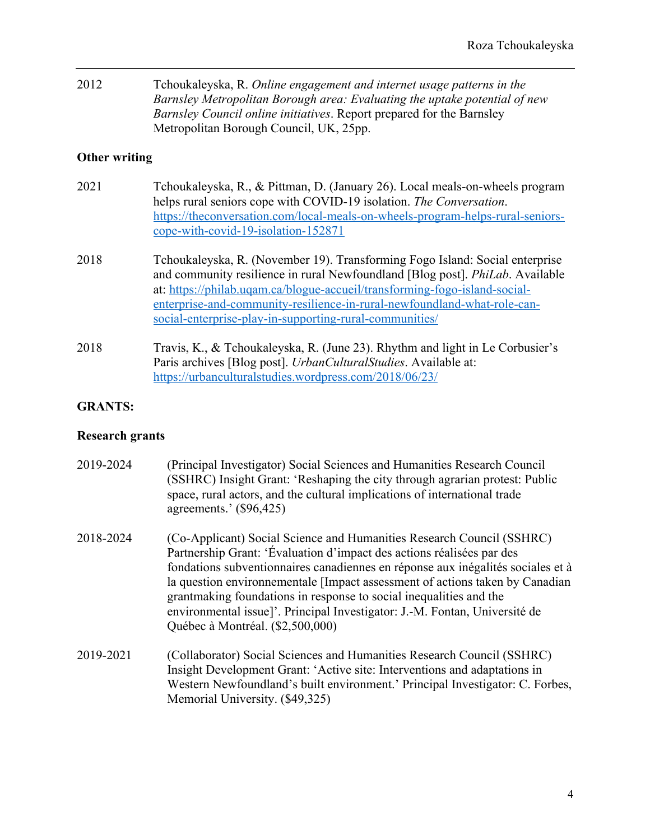| 2012 | Tchoukaleyska, R. Online engagement and internet usage patterns in the       |
|------|------------------------------------------------------------------------------|
|      | Barnsley Metropolitan Borough area: Evaluating the uptake potential of new   |
|      | <i>Barnsley Council online initiatives.</i> Report prepared for the Barnsley |
|      | Metropolitan Borough Council, UK, 25pp.                                      |

## **Other writing**

| 2021 | Tchoukaleyska, R., & Pittman, D. (January 26). Local meals-on-wheels program   |
|------|--------------------------------------------------------------------------------|
|      | helps rural seniors cope with COVID-19 isolation. The Conversation.            |
|      | https://theconversation.com/local-meals-on-wheels-program-helps-rural-seniors- |
|      | $cope-with-covid-19-isolation-152871$                                          |

- 2018 Tchoukaleyska, R. (November 19). Transforming Fogo Island: Social enterprise and community resilience in rural Newfoundland [Blog post]. *PhiLab*. Available at: https://philab.uqam.ca/blogue-accueil/transforming-fogo-island-socialenterprise-and-community-resilience-in-rural-newfoundland-what-role-cansocial-enterprise-play-in-supporting-rural-communities/
- 2018 Travis, K., & Tchoukaleyska, R. (June 23). Rhythm and light in Le Corbusier's Paris archives [Blog post]. *UrbanCulturalStudies*. Available at: https://urbanculturalstudies.wordpress.com/2018/06/23/

# **GRANTS:**

### **Research grants**

| 2019-2024 | (Principal Investigator) Social Sciences and Humanities Research Council<br>(SSHRC) Insight Grant: 'Reshaping the city through agrarian protest: Public<br>space, rural actors, and the cultural implications of international trade<br>agreements.' (\$96,425)                                                                                                                                                                                                                                           |
|-----------|-----------------------------------------------------------------------------------------------------------------------------------------------------------------------------------------------------------------------------------------------------------------------------------------------------------------------------------------------------------------------------------------------------------------------------------------------------------------------------------------------------------|
| 2018-2024 | (Co-Applicant) Social Science and Humanities Research Council (SSHRC)<br>Partnership Grant: 'Évaluation d'impact des actions réalisées par des<br>fondations subventionnaires canadiennes en réponse aux inégalités sociales et à<br>la question environnementale [Impact assessment of actions taken by Canadian<br>grantmaking foundations in response to social inequalities and the<br>environmental issue]'. Principal Investigator: J.-M. Fontan, Université de<br>Québec à Montréal. (\$2,500,000) |
| 2019-2021 | (Collaborator) Social Sciences and Humanities Research Council (SSHRC)<br>Insight Development Grant: 'Active site: Interventions and adaptations in<br>Western Newfoundland's built environment.' Principal Investigator: C. Forbes,<br>Memorial University. (\$49,325)                                                                                                                                                                                                                                   |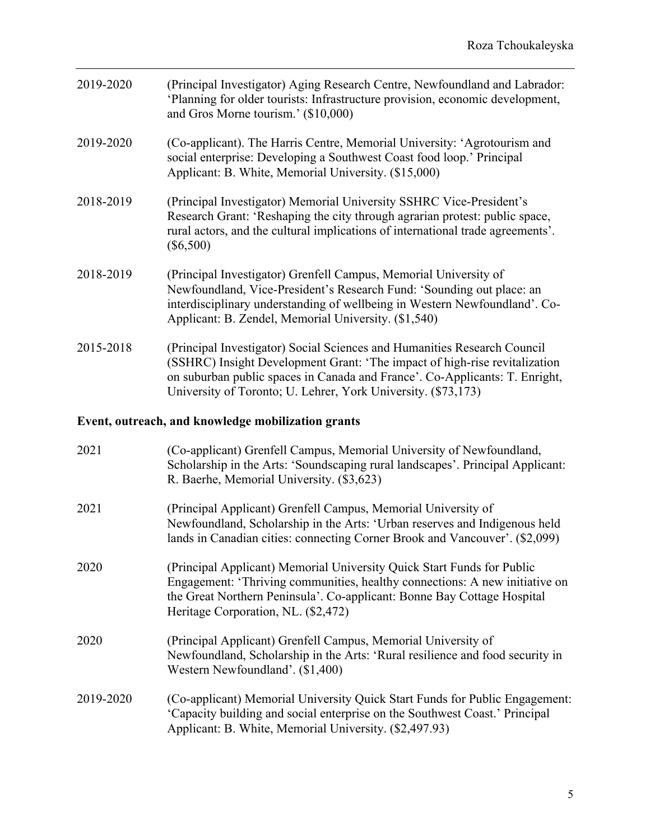| 2019-2020 | (Principal Investigator) Aging Research Centre, Newfoundland and Labrador:<br>'Planning for older tourists: Infrastructure provision, economic development,<br>and Gros Morne tourism.' (\$10,000)                                                                                                     |
|-----------|--------------------------------------------------------------------------------------------------------------------------------------------------------------------------------------------------------------------------------------------------------------------------------------------------------|
| 2019-2020 | (Co-applicant). The Harris Centre, Memorial University: 'Agrotourism and<br>social enterprise: Developing a Southwest Coast food loop.' Principal<br>Applicant: B. White, Memorial University. (\$15,000)                                                                                              |
| 2018-2019 | (Principal Investigator) Memorial University SSHRC Vice-President's<br>Research Grant: 'Reshaping the city through agrarian protest: public space,<br>rural actors, and the cultural implications of international trade agreements'.<br>$(\$6,500)$                                                   |
| 2018-2019 | (Principal Investigator) Grenfell Campus, Memorial University of<br>Newfoundland, Vice-President's Research Fund: 'Sounding out place: an<br>interdisciplinary understanding of wellbeing in Western Newfoundland'. Co-<br>Applicant: B. Zendel, Memorial University. (\$1,540)                        |
| 2015-2018 | (Principal Investigator) Social Sciences and Humanities Research Council<br>(SSHRC) Insight Development Grant: 'The impact of high-rise revitalization<br>on suburban public spaces in Canada and France'. Co-Applicants: T. Enright,<br>University of Toronto; U. Lehrer, York University. (\$73,173) |
|           | Event, outreach, and knowledge mobilization grants                                                                                                                                                                                                                                                     |
| 2021      | (Co-applicant) Grenfell Campus, Memorial University of Newfoundland,<br>Scholarship in the Arts: 'Soundscaping rural landscapes'. Principal Applicant:<br>R. Baerhe, Memorial University. (\$3,623)                                                                                                    |
| 2021      | (Principal Applicant) Grenfell Campus, Memorial University of<br>Newfoundland, Scholarship in the Arts: 'Urban reserves and Indigenous held<br>lands in Canadian cities: connecting Corner Brook and Vancouver'. (\$2,099)                                                                             |
| 2020      | (Principal Applicant) Memorial University Quick Start Funds for Public<br>Engagement: 'Thriving communities, healthy connections: A new initiative on<br>the Great Northern Peninsula'. Co-applicant: Bonne Bay Cottage Hospital<br>Heritage Corporation, NL. (\$2,472)                                |
| 2020      | (Principal Applicant) Grenfell Campus, Memorial University of<br>Newfoundland, Scholarship in the Arts: 'Rural resilience and food security in<br>Western Newfoundland'. (\$1,400)                                                                                                                     |
| 2019-2020 | (Co-applicant) Memorial University Quick Start Funds for Public Engagement:<br>'Capacity building and social enterprise on the Southwest Coast.' Principal<br>Applicant: B. White, Memorial University. (\$2,497.93)                                                                                   |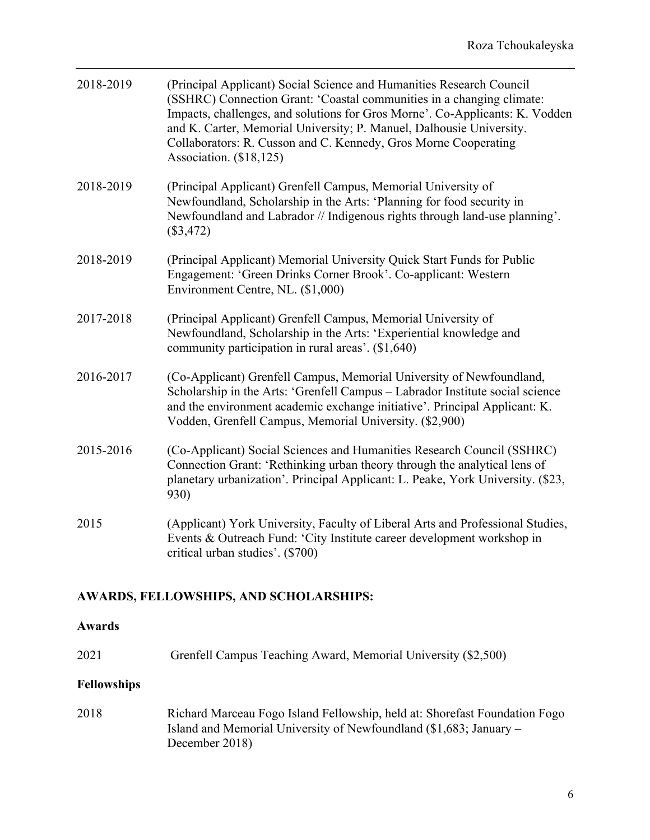| 2018-2019 | (Principal Applicant) Social Science and Humanities Research Council<br>(SSHRC) Connection Grant: 'Coastal communities in a changing climate:<br>Impacts, challenges, and solutions for Gros Morne'. Co-Applicants: K. Vodden<br>and K. Carter, Memorial University; P. Manuel, Dalhousie University.<br>Collaborators: R. Cusson and C. Kennedy, Gros Morne Cooperating<br>Association. (\$18,125) |
|-----------|-----------------------------------------------------------------------------------------------------------------------------------------------------------------------------------------------------------------------------------------------------------------------------------------------------------------------------------------------------------------------------------------------------|
| 2018-2019 | (Principal Applicant) Grenfell Campus, Memorial University of<br>Newfoundland, Scholarship in the Arts: 'Planning for food security in<br>Newfoundland and Labrador // Indigenous rights through land-use planning'.<br>$(\$3,472)$                                                                                                                                                                 |
| 2018-2019 | (Principal Applicant) Memorial University Quick Start Funds for Public<br>Engagement: 'Green Drinks Corner Brook'. Co-applicant: Western<br>Environment Centre, NL. (\$1,000)                                                                                                                                                                                                                       |
| 2017-2018 | (Principal Applicant) Grenfell Campus, Memorial University of<br>Newfoundland, Scholarship in the Arts: 'Experiential knowledge and<br>community participation in rural areas'. (\$1,640)                                                                                                                                                                                                           |
| 2016-2017 | (Co-Applicant) Grenfell Campus, Memorial University of Newfoundland,<br>Scholarship in the Arts: 'Grenfell Campus - Labrador Institute social science<br>and the environment academic exchange initiative'. Principal Applicant: K.<br>Vodden, Grenfell Campus, Memorial University. (\$2,900)                                                                                                      |
| 2015-2016 | (Co-Applicant) Social Sciences and Humanities Research Council (SSHRC)<br>Connection Grant: 'Rethinking urban theory through the analytical lens of<br>planetary urbanization'. Principal Applicant: L. Peake, York University. (\$23,<br>930)                                                                                                                                                      |
| 2015      | (Applicant) York University, Faculty of Liberal Arts and Professional Studies,<br>Events & Outreach Fund: 'City Institute career development workshop in<br>critical urban studies'. (\$700)                                                                                                                                                                                                        |

# **AWARDS, FELLOWSHIPS, AND SCHOLARSHIPS:**

# **Awards**

2021 Grenfell Campus Teaching Award, Memorial University (\$2,500)

# **Fellowships**

2018 Richard Marceau Fogo Island Fellowship, held at: Shorefast Foundation Fogo Island and Memorial University of Newfoundland (\$1,683; January – December 2018)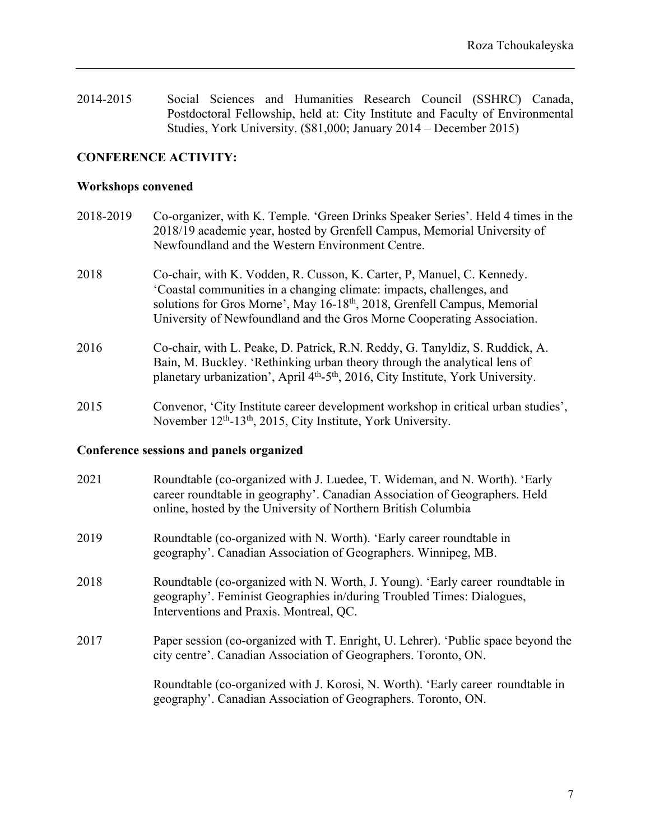2014-2015 Social Sciences and Humanities Research Council (SSHRC) Canada, Postdoctoral Fellowship, held at: City Institute and Faculty of Environmental Studies, York University. (\$81,000; January 2014 – December 2015)

## **CONFERENCE ACTIVITY:**

#### **Workshops convened**

- 2018-2019 Co-organizer, with K. Temple. 'Green Drinks Speaker Series'. Held 4 times in the 2018/19 academic year, hosted by Grenfell Campus, Memorial University of Newfoundland and the Western Environment Centre.
- 2018 Co-chair, with K. Vodden, R. Cusson, K. Carter, P, Manuel, C. Kennedy. 'Coastal communities in a changing climate: impacts, challenges, and solutions for Gros Morne', May 16-18<sup>th</sup>, 2018, Grenfell Campus, Memorial University of Newfoundland and the Gros Morne Cooperating Association.
- 2016 Co-chair, with L. Peake, D. Patrick, R.N. Reddy, G. Tanyldiz, S. Ruddick, A. Bain, M. Buckley. 'Rethinking urban theory through the analytical lens of planetary urbanization', April 4<sup>th</sup>-5<sup>th</sup>, 2016, City Institute, York University.
- 2015 Convenor, 'City Institute career development workshop in critical urban studies', November 12<sup>th</sup>-13<sup>th</sup>, 2015, City Institute, York University.

#### **Conference sessions and panels organized**

| 2021 | Roundtable (co-organized with J. Luedee, T. Wideman, and N. Worth). 'Early<br>career roundtable in geography'. Canadian Association of Geographers. Held<br>online, hosted by the University of Northern British Columbia |
|------|---------------------------------------------------------------------------------------------------------------------------------------------------------------------------------------------------------------------------|
| 2019 | Roundtable (co-organized with N. Worth). 'Early career roundtable in<br>geography'. Canadian Association of Geographers. Winnipeg, MB.                                                                                    |
| 2018 | Roundtable (co-organized with N. Worth, J. Young). 'Early career roundtable in<br>geography'. Feminist Geographies in/during Troubled Times: Dialogues,<br>Interventions and Praxis. Montreal, QC.                        |
| 2017 | Paper session (co-organized with T. Enright, U. Lehrer). 'Public space beyond the<br>city centre'. Canadian Association of Geographers. Toronto, ON.                                                                      |
|      | Roundtable (co-organized with J. Korosi, N. Worth). 'Early career roundtable in<br>geography'. Canadian Association of Geographers. Toronto, ON.                                                                          |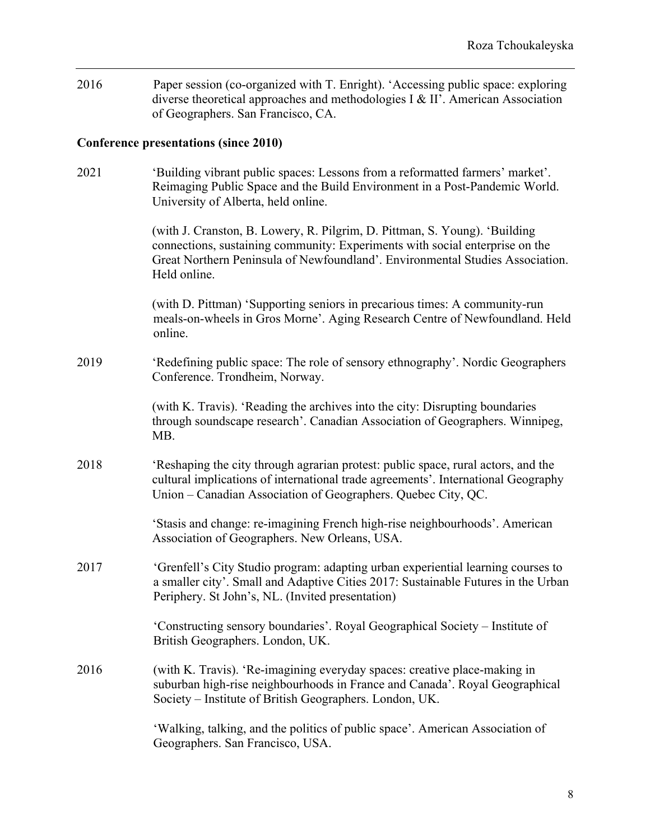2016 Paper session (co-organized with T. Enright). 'Accessing public space: exploring diverse theoretical approaches and methodologies I & II'. American Association of Geographers. San Francisco, CA.

# **Conference presentations (since 2010)**

| 2021 | 'Building vibrant public spaces: Lessons from a reformatted farmers' market'.<br>Reimaging Public Space and the Build Environment in a Post-Pandemic World.<br>University of Alberta, held online.                                                          |
|------|-------------------------------------------------------------------------------------------------------------------------------------------------------------------------------------------------------------------------------------------------------------|
|      | (with J. Cranston, B. Lowery, R. Pilgrim, D. Pittman, S. Young). 'Building<br>connections, sustaining community: Experiments with social enterprise on the<br>Great Northern Peninsula of Newfoundland'. Environmental Studies Association.<br>Held online. |
|      | (with D. Pittman) 'Supporting seniors in precarious times: A community-run<br>meals-on-wheels in Gros Morne'. Aging Research Centre of Newfoundland. Held<br>online.                                                                                        |
| 2019 | 'Redefining public space: The role of sensory ethnography'. Nordic Geographers<br>Conference. Trondheim, Norway.                                                                                                                                            |
|      | (with K. Travis). 'Reading the archives into the city: Disrupting boundaries<br>through soundscape research'. Canadian Association of Geographers. Winnipeg,<br>MB.                                                                                         |
| 2018 | 'Reshaping the city through agrarian protest: public space, rural actors, and the<br>cultural implications of international trade agreements'. International Geography<br>Union – Canadian Association of Geographers. Quebec City, QC.                     |
|      | 'Stasis and change: re-imagining French high-rise neighbourhoods'. American<br>Association of Geographers. New Orleans, USA.                                                                                                                                |
| 2017 | 'Grenfell's City Studio program: adapting urban experiential learning courses to<br>a smaller city'. Small and Adaptive Cities 2017: Sustainable Futures in the Urban<br>Periphery. St John's, NL. (Invited presentation)                                   |
|      | 'Constructing sensory boundaries'. Royal Geographical Society - Institute of<br>British Geographers. London, UK.                                                                                                                                            |
| 2016 | (with K. Travis). 'Re-imagining everyday spaces: creative place-making in<br>suburban high-rise neighbourhoods in France and Canada'. Royal Geographical<br>Society – Institute of British Geographers. London, UK.                                         |
|      | 'Walking, talking, and the politics of public space'. American Association of<br>Geographers. San Francisco, USA.                                                                                                                                           |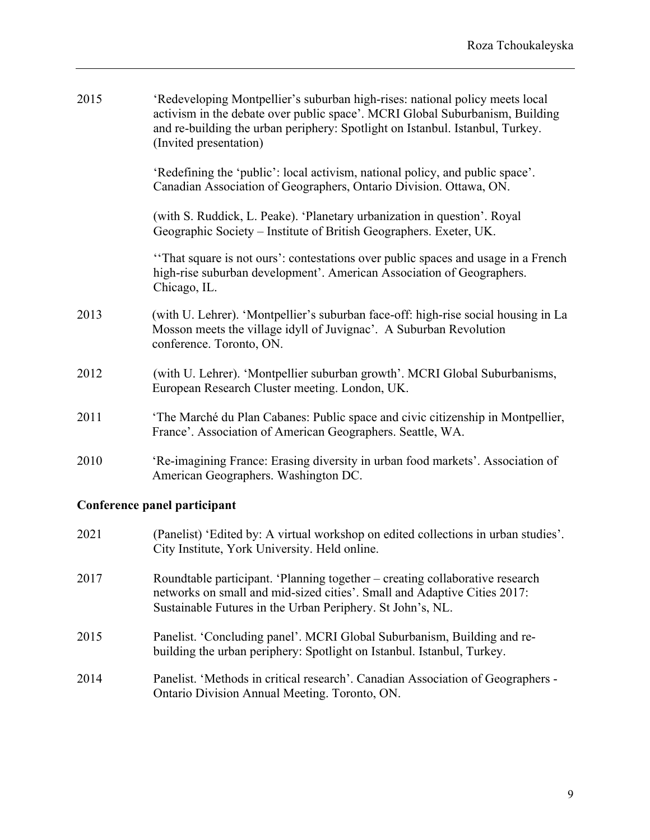| 2015 | 'Redeveloping Montpellier's suburban high-rises: national policy meets local<br>activism in the debate over public space'. MCRI Global Suburbanism, Building<br>and re-building the urban periphery: Spotlight on Istanbul. Istanbul, Turkey.<br>(Invited presentation) |
|------|-------------------------------------------------------------------------------------------------------------------------------------------------------------------------------------------------------------------------------------------------------------------------|
|      | 'Redefining the 'public': local activism, national policy, and public space'.<br>Canadian Association of Geographers, Ontario Division. Ottawa, ON.                                                                                                                     |
|      | (with S. Ruddick, L. Peake). 'Planetary urbanization in question'. Royal<br>Geographic Society - Institute of British Geographers. Exeter, UK.                                                                                                                          |
|      | "That square is not ours': contestations over public spaces and usage in a French<br>high-rise suburban development'. American Association of Geographers.<br>Chicago, IL.                                                                                              |
| 2013 | (with U. Lehrer). 'Montpellier's suburban face-off: high-rise social housing in La<br>Mosson meets the village idyll of Juvignac'. A Suburban Revolution<br>conference. Toronto, ON.                                                                                    |
| 2012 | (with U. Lehrer). 'Montpellier suburban growth'. MCRI Global Suburbanisms,<br>European Research Cluster meeting. London, UK.                                                                                                                                            |
| 2011 | 'The Marché du Plan Cabanes: Public space and civic citizenship in Montpellier,<br>France'. Association of American Geographers. Seattle, WA.                                                                                                                           |
| 2010 | 'Re-imagining France: Erasing diversity in urban food markets'. Association of<br>American Geographers. Washington DC.                                                                                                                                                  |

# **Conference panel participant**

- 2021 (Panelist) 'Edited by: A virtual workshop on edited collections in urban studies'. City Institute, York University. Held online.
- 2017 Roundtable participant. 'Planning together creating collaborative research networks on small and mid-sized cities'. Small and Adaptive Cities 2017: Sustainable Futures in the Urban Periphery. St John's, NL.
- 2015 Panelist. 'Concluding panel'. MCRI Global Suburbanism, Building and rebuilding the urban periphery: Spotlight on Istanbul. Istanbul, Turkey.
- 2014 Panelist. 'Methods in critical research'. Canadian Association of Geographers Ontario Division Annual Meeting. Toronto, ON.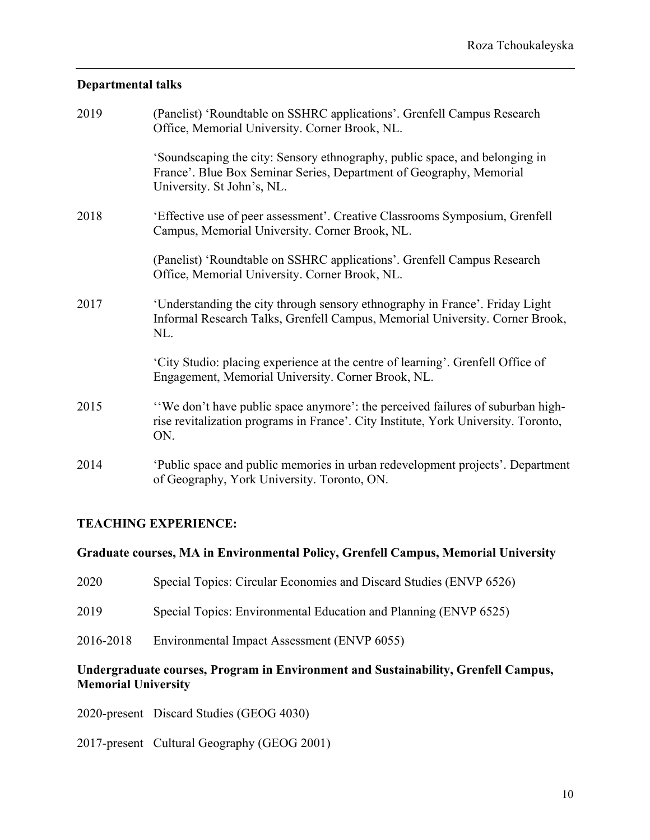## **Departmental talks**

| 2019 | (Panelist) 'Roundtable on SSHRC applications'. Grenfell Campus Research<br>Office, Memorial University. Corner Brook, NL.                                                        |
|------|----------------------------------------------------------------------------------------------------------------------------------------------------------------------------------|
|      | 'Soundscaping the city: Sensory ethnography, public space, and belonging in<br>France'. Blue Box Seminar Series, Department of Geography, Memorial<br>University. St John's, NL. |
| 2018 | 'Effective use of peer assessment'. Creative Classrooms Symposium, Grenfell<br>Campus, Memorial University. Corner Brook, NL.                                                    |
|      | (Panelist) 'Roundtable on SSHRC applications'. Grenfell Campus Research<br>Office, Memorial University. Corner Brook, NL.                                                        |
| 2017 | 'Understanding the city through sensory ethnography in France'. Friday Light<br>Informal Research Talks, Grenfell Campus, Memorial University. Corner Brook,<br>NL.              |
|      | 'City Studio: placing experience at the centre of learning'. Grenfell Office of<br>Engagement, Memorial University. Corner Brook, NL.                                            |
| 2015 | "We don't have public space anymore': the perceived failures of suburban high-<br>rise revitalization programs in France'. City Institute, York University. Toronto,<br>ON.      |
| 2014 | 'Public space and public memories in urban redevelopment projects'. Department<br>of Geography, York University. Toronto, ON.                                                    |

# **TEACHING EXPERIENCE:**

# **Graduate courses, MA in Environmental Policy, Grenfell Campus, Memorial University**

| 2020 |  | Special Topics: Circular Economies and Discard Studies (ENVP 6526) |  |  |
|------|--|--------------------------------------------------------------------|--|--|
|------|--|--------------------------------------------------------------------|--|--|

- 2019 Special Topics: Environmental Education and Planning (ENVP 6525)
- 2016-2018 Environmental Impact Assessment (ENVP 6055)

# **Undergraduate courses, Program in Environment and Sustainability, Grenfell Campus, Memorial University**

2020-present Discard Studies (GEOG 4030)

2017-present Cultural Geography (GEOG 2001)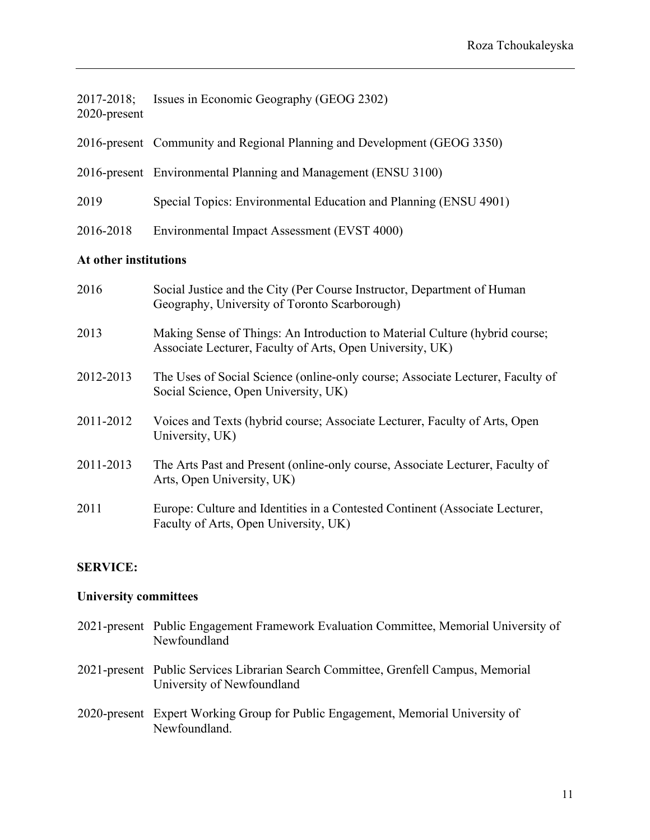| 2017-2018;   | Issues in Economic Geography (GEOG 2302) |
|--------------|------------------------------------------|
| 2020-present |                                          |

- 2016-present Community and Regional Planning and Development (GEOG 3350)
- 2016-present Environmental Planning and Management (ENSU 3100)
- 2019 Special Topics: Environmental Education and Planning (ENSU 4901)
- 2016-2018 Environmental Impact Assessment (EVST 4000)

### **At other institutions**

| 2016      | Social Justice and the City (Per Course Instructor, Department of Human<br>Geography, University of Toronto Scarborough)                 |
|-----------|------------------------------------------------------------------------------------------------------------------------------------------|
| 2013      | Making Sense of Things: An Introduction to Material Culture (hybrid course;<br>Associate Lecturer, Faculty of Arts, Open University, UK) |
| 2012-2013 | The Uses of Social Science (online-only course; Associate Lecturer, Faculty of<br>Social Science, Open University, UK)                   |
| 2011-2012 | Voices and Texts (hybrid course; Associate Lecturer, Faculty of Arts, Open<br>University, UK)                                            |
| 2011-2013 | The Arts Past and Present (online-only course, Associate Lecturer, Faculty of<br>Arts, Open University, UK)                              |
| 2011      | Europe: Culture and Identities in a Contested Continent (Associate Lecturer,<br>Faculty of Arts, Open University, UK)                    |

### **SERVICE:**

#### **University committees**

- 2021-present Public Engagement Framework Evaluation Committee, Memorial University of Newfoundland
- 2021-present Public Services Librarian Search Committee, Grenfell Campus, Memorial University of Newfoundland
- 2020-present Expert Working Group for Public Engagement, Memorial University of Newfoundland.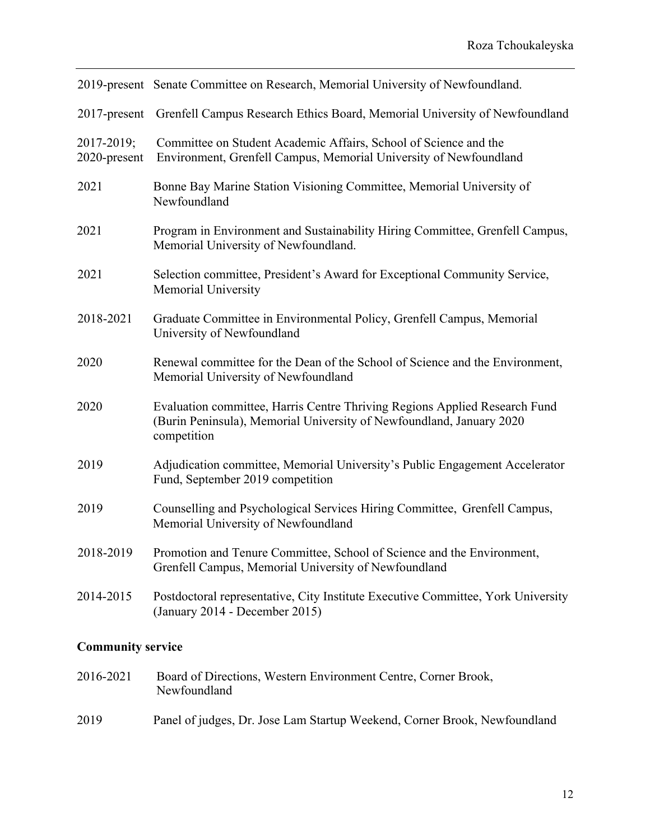|                            | 2019-present Senate Committee on Research, Memorial University of Newfoundland.                                                                                   |
|----------------------------|-------------------------------------------------------------------------------------------------------------------------------------------------------------------|
| $2017$ -present            | Grenfell Campus Research Ethics Board, Memorial University of Newfoundland                                                                                        |
| 2017-2019;<br>2020-present | Committee on Student Academic Affairs, School of Science and the<br>Environment, Grenfell Campus, Memorial University of Newfoundland                             |
| 2021                       | Bonne Bay Marine Station Visioning Committee, Memorial University of<br>Newfoundland                                                                              |
| 2021                       | Program in Environment and Sustainability Hiring Committee, Grenfell Campus,<br>Memorial University of Newfoundland.                                              |
| 2021                       | Selection committee, President's Award for Exceptional Community Service,<br>Memorial University                                                                  |
| 2018-2021                  | Graduate Committee in Environmental Policy, Grenfell Campus, Memorial<br>University of Newfoundland                                                               |
| 2020                       | Renewal committee for the Dean of the School of Science and the Environment,<br>Memorial University of Newfoundland                                               |
| 2020                       | Evaluation committee, Harris Centre Thriving Regions Applied Research Fund<br>(Burin Peninsula), Memorial University of Newfoundland, January 2020<br>competition |
| 2019                       | Adjudication committee, Memorial University's Public Engagement Accelerator<br>Fund, September 2019 competition                                                   |
| 2019                       | Counselling and Psychological Services Hiring Committee, Grenfell Campus,<br>Memorial University of Newfoundland                                                  |
| 2018-2019                  | Promotion and Tenure Committee, School of Science and the Environment,<br>Grenfell Campus, Memorial University of Newfoundland                                    |
| 2014-2015                  | Postdoctoral representative, City Institute Executive Committee, York University<br>(January 2014 - December 2015)                                                |

# **Community service**

- 2016-2021 Board of Directions, Western Environment Centre, Corner Brook, Newfoundland
- 2019 Panel of judges, Dr. Jose Lam Startup Weekend, Corner Brook, Newfoundland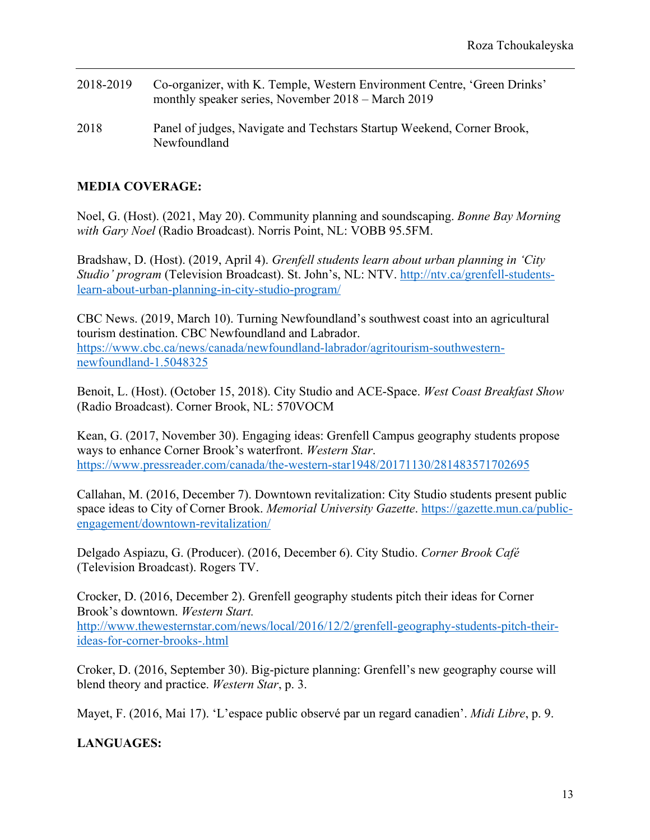- 2018-2019 Co-organizer, with K. Temple, Western Environment Centre, 'Green Drinks' monthly speaker series, November 2018 – March 2019
- 2018 Panel of judges, Navigate and Techstars Startup Weekend, Corner Brook, Newfoundland

# **MEDIA COVERAGE:**

Noel, G. (Host). (2021, May 20). Community planning and soundscaping. *Bonne Bay Morning with Gary Noel* (Radio Broadcast). Norris Point, NL: VOBB 95.5FM.

Bradshaw, D. (Host). (2019, April 4). *Grenfell students learn about urban planning in 'City Studio' program* (Television Broadcast). St. John's, NL: NTV. http://ntv.ca/grenfell-studentslearn-about-urban-planning-in-city-studio-program/

CBC News. (2019, March 10). Turning Newfoundland's southwest coast into an agricultural tourism destination. CBC Newfoundland and Labrador. https://www.cbc.ca/news/canada/newfoundland-labrador/agritourism-southwesternnewfoundland-1.5048325

Benoit, L. (Host). (October 15, 2018). City Studio and ACE-Space. *West Coast Breakfast Show* (Radio Broadcast). Corner Brook, NL: 570VOCM

Kean, G. (2017, November 30). Engaging ideas: Grenfell Campus geography students propose ways to enhance Corner Brook's waterfront. *Western Star*. https://www.pressreader.com/canada/the-western-star1948/20171130/281483571702695

Callahan, M. (2016, December 7). Downtown revitalization: City Studio students present public space ideas to City of Corner Brook. *Memorial University Gazette*. https://gazette.mun.ca/publicengagement/downtown-revitalization/

Delgado Aspiazu, G. (Producer). (2016, December 6). City Studio. *Corner Brook Café* (Television Broadcast). Rogers TV.

Crocker, D. (2016, December 2). Grenfell geography students pitch their ideas for Corner Brook's downtown. *Western Start.* http://www.thewesternstar.com/news/local/2016/12/2/grenfell-geography-students-pitch-theirideas-for-corner-brooks-.html

Croker, D. (2016, September 30). Big-picture planning: Grenfell's new geography course will blend theory and practice. *Western Star*, p. 3.

Mayet, F. (2016, Mai 17). 'L'espace public observé par un regard canadien'. *Midi Libre*, p. 9.

# **LANGUAGES:**